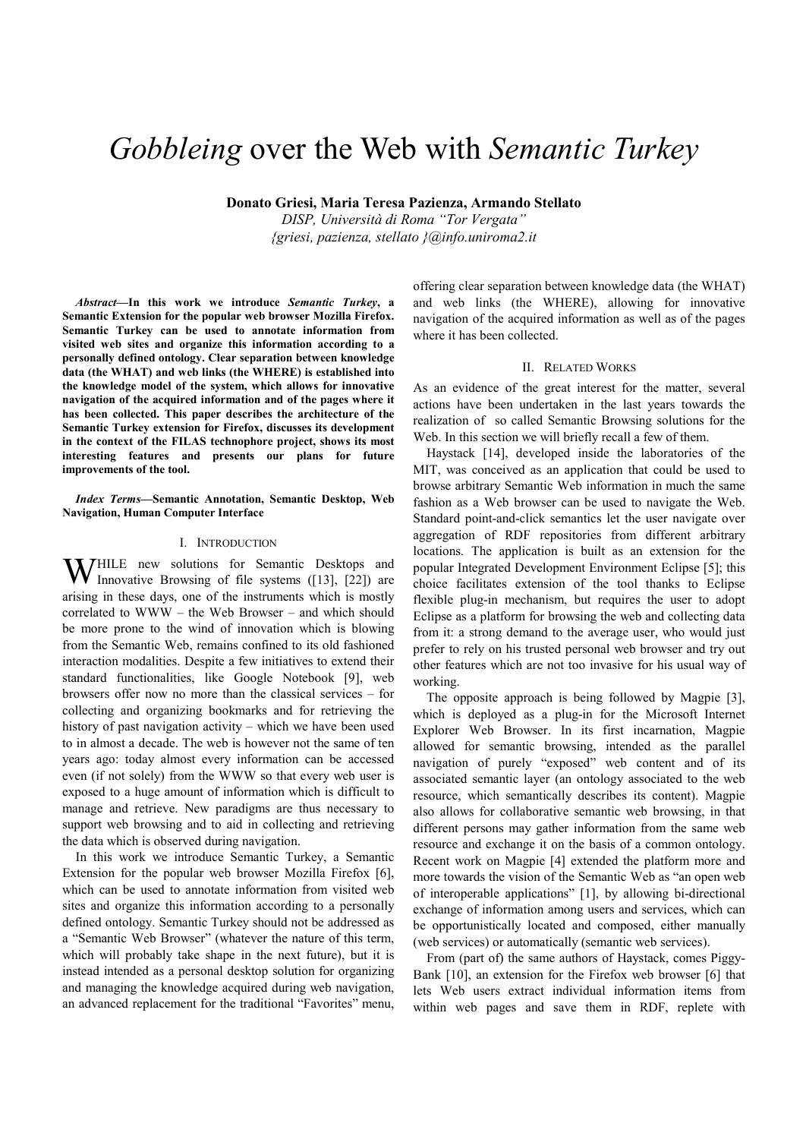# *Gobbleing* over the Web with *Semantic Turkey*

**Donato Griesi, Maria Teresa Pazienza, Armando Stellato**

*DISP, Università di Roma "Tor Vergata" {griesi, pazienza, stellato }@info.uniroma2.it*

*Abstract***—In this work we introduce** *Semantic Turkey***, a Semantic Extension for the popular web browser Mozilla Firefox. Semantic Turkey can be used to annotate information from visited web sites and organize this information according to a personally defined ontology. Clear separation between knowledge data (the WHAT) and web links (the WHERE) is established into the knowledge model of the system, which allows for innovative navigation of the acquired information and of the pages where it has been collected. This paper describes the architecture of the Semantic Turkey extension for Firefox, discusses its development in the context of the FILAS technophore project, shows its most interesting features and presents our plans for future improvements of the tool.** 

*Index Terms***—Semantic Annotation, Semantic Desktop, Web Navigation, Human Computer Interface** 

### I. INTRODUCTION

HILE new solutions for Semantic Desktops and WHILE new solutions for Semantic Desktops and Innovative Browsing of file systems ([13], [22]) are arising in these days, one of the instruments which is mostly correlated to WWW – the Web Browser – and which should be more prone to the wind of innovation which is blowing from the Semantic Web, remains confined to its old fashioned interaction modalities. Despite a few initiatives to extend their standard functionalities, like Google Notebook [9], web browsers offer now no more than the classical services – for collecting and organizing bookmarks and for retrieving the history of past navigation activity – which we have been used to in almost a decade. The web is however not the same of ten years ago: today almost every information can be accessed even (if not solely) from the WWW so that every web user is exposed to a huge amount of information which is difficult to manage and retrieve. New paradigms are thus necessary to support web browsing and to aid in collecting and retrieving the data which is observed during navigation.

In this work we introduce Semantic Turkey, a Semantic Extension for the popular web browser Mozilla Firefox [6], which can be used to annotate information from visited web sites and organize this information according to a personally defined ontology. Semantic Turkey should not be addressed as a "Semantic Web Browser" (whatever the nature of this term, which will probably take shape in the next future), but it is instead intended as a personal desktop solution for organizing and managing the knowledge acquired during web navigation, an advanced replacement for the traditional "Favorites" menu,

offering clear separation between knowledge data (the WHAT) and web links (the WHERE), allowing for innovative navigation of the acquired information as well as of the pages where it has been collected.

#### II. RELATED WORKS

As an evidence of the great interest for the matter, several actions have been undertaken in the last years towards the realization of so called Semantic Browsing solutions for the Web. In this section we will briefly recall a few of them.

Haystack [14], developed inside the laboratories of the MIT, was conceived as an application that could be used to browse arbitrary Semantic Web information in much the same fashion as a Web browser can be used to navigate the Web. Standard point-and-click semantics let the user navigate over aggregation of RDF repositories from different arbitrary locations. The application is built as an extension for the popular Integrated Development Environment Eclipse [5]; this choice facilitates extension of the tool thanks to Eclipse flexible plug-in mechanism, but requires the user to adopt Eclipse as a platform for browsing the web and collecting data from it: a strong demand to the average user, who would just prefer to rely on his trusted personal web browser and try out other features which are not too invasive for his usual way of working.

The opposite approach is being followed by Magpie [3], which is deployed as a plug-in for the Microsoft Internet Explorer Web Browser. In its first incarnation, Magpie allowed for semantic browsing, intended as the parallel navigation of purely "exposed" web content and of its associated semantic layer (an ontology associated to the web resource, which semantically describes its content). Magpie also allows for collaborative semantic web browsing, in that different persons may gather information from the same web resource and exchange it on the basis of a common ontology. Recent work on Magpie [4] extended the platform more and more towards the vision of the Semantic Web as "an open web of interoperable applications" [1], by allowing bi-directional exchange of information among users and services, which can be opportunistically located and composed, either manually (web services) or automatically (semantic web services).

From (part of) the same authors of Haystack, comes Piggy-Bank [10], an extension for the Firefox web browser [6] that lets Web users extract individual information items from within web pages and save them in RDF, replete with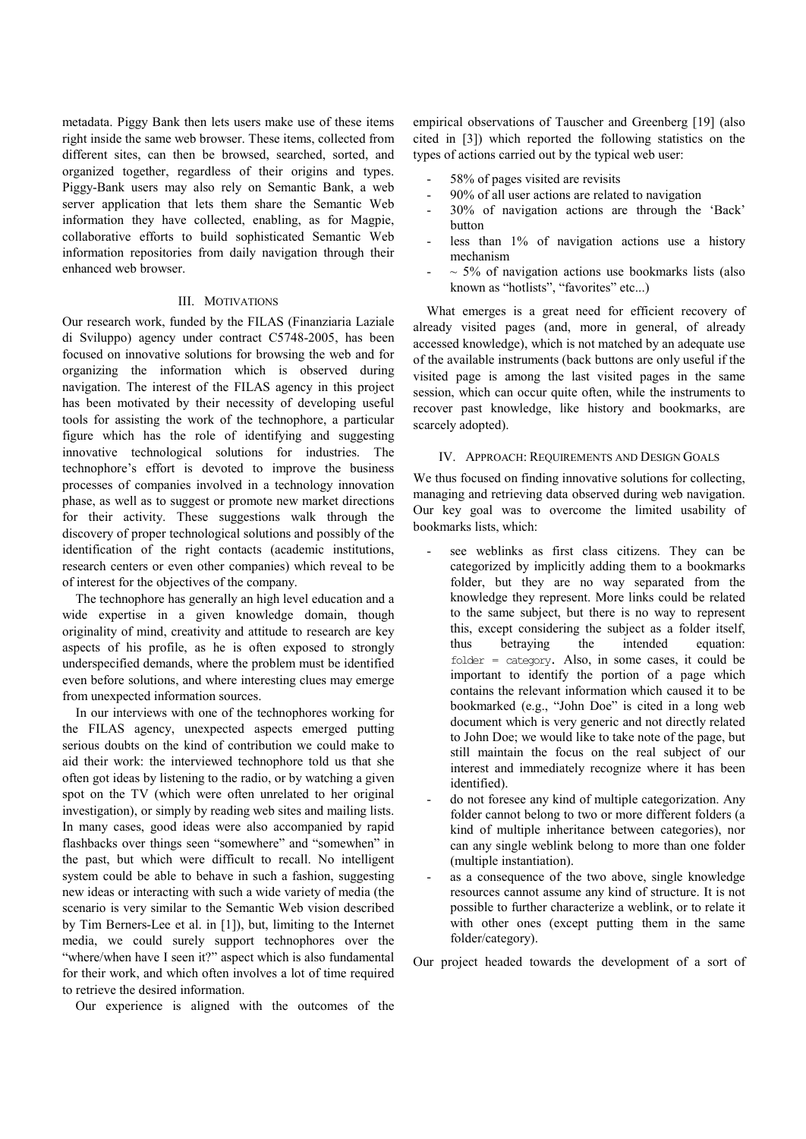metadata. Piggy Bank then lets users make use of these items right inside the same web browser. These items, collected from different sites, can then be browsed, searched, sorted, and organized together, regardless of their origins and types. Piggy-Bank users may also rely on Semantic Bank, a web server application that lets them share the Semantic Web information they have collected, enabling, as for Magpie, collaborative efforts to build sophisticated Semantic Web information repositories from daily navigation through their enhanced web browser.

## III. MOTIVATIONS

Our research work, funded by the FILAS (Finanziaria Laziale di Sviluppo) agency under contract C5748-2005, has been focused on innovative solutions for browsing the web and for organizing the information which is observed during navigation. The interest of the FILAS agency in this project has been motivated by their necessity of developing useful tools for assisting the work of the technophore, a particular figure which has the role of identifying and suggesting innovative technological solutions for industries. The technophore's effort is devoted to improve the business processes of companies involved in a technology innovation phase, as well as to suggest or promote new market directions for their activity. These suggestions walk through the discovery of proper technological solutions and possibly of the identification of the right contacts (academic institutions, research centers or even other companies) which reveal to be of interest for the objectives of the company.

The technophore has generally an high level education and a wide expertise in a given knowledge domain, though originality of mind, creativity and attitude to research are key aspects of his profile, as he is often exposed to strongly underspecified demands, where the problem must be identified even before solutions, and where interesting clues may emerge from unexpected information sources.

In our interviews with one of the technophores working for the FILAS agency, unexpected aspects emerged putting serious doubts on the kind of contribution we could make to aid their work: the interviewed technophore told us that she often got ideas by listening to the radio, or by watching a given spot on the TV (which were often unrelated to her original investigation), or simply by reading web sites and mailing lists. In many cases, good ideas were also accompanied by rapid flashbacks over things seen "somewhere" and "somewhen" in the past, but which were difficult to recall. No intelligent system could be able to behave in such a fashion, suggesting new ideas or interacting with such a wide variety of media (the scenario is very similar to the Semantic Web vision described by Tim Berners-Lee et al. in [1]), but, limiting to the Internet media, we could surely support technophores over the "where/when have I seen it?" aspect which is also fundamental for their work, and which often involves a lot of time required to retrieve the desired information.

Our experience is aligned with the outcomes of the

empirical observations of Tauscher and Greenberg [19] (also cited in [3]) which reported the following statistics on the types of actions carried out by the typical web user:

- 58% of pages visited are revisits
- 90% of all user actions are related to navigation
- 30% of navigation actions are through the 'Back' button
- less than 1% of navigation actions use a history mechanism
- $\sim$  5% of navigation actions use bookmarks lists (also known as "hotlists", "favorites" etc...)

What emerges is a great need for efficient recovery of already visited pages (and, more in general, of already accessed knowledge), which is not matched by an adequate use of the available instruments (back buttons are only useful if the visited page is among the last visited pages in the same session, which can occur quite often, while the instruments to recover past knowledge, like history and bookmarks, are scarcely adopted).

### IV. APPROACH: REQUIREMENTS AND DESIGN GOALS

We thus focused on finding innovative solutions for collecting, managing and retrieving data observed during web navigation. Our key goal was to overcome the limited usability of bookmarks lists, which:

- see weblinks as first class citizens. They can be categorized by implicitly adding them to a bookmarks folder, but they are no way separated from the knowledge they represent. More links could be related to the same subject, but there is no way to represent this, except considering the subject as a folder itself, thus betraying the intended equation: folder = category. Also, in some cases, it could be important to identify the portion of a page which contains the relevant information which caused it to be bookmarked (e.g., "John Doe" is cited in a long web document which is very generic and not directly related to John Doe; we would like to take note of the page, but still maintain the focus on the real subject of our interest and immediately recognize where it has been identified).
- do not foresee any kind of multiple categorization. Any folder cannot belong to two or more different folders (a kind of multiple inheritance between categories), nor can any single weblink belong to more than one folder (multiple instantiation).
- as a consequence of the two above, single knowledge resources cannot assume any kind of structure. It is not possible to further characterize a weblink, or to relate it with other ones (except putting them in the same folder/category).

Our project headed towards the development of a sort of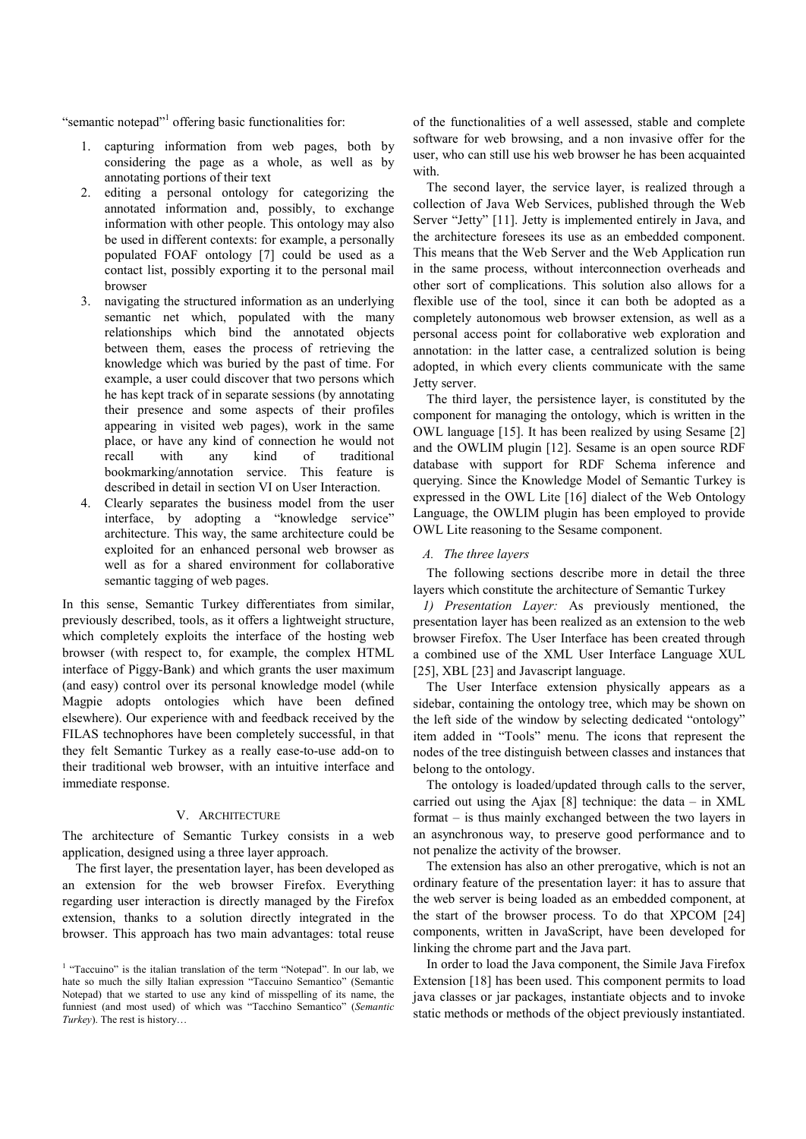"semantic notepad"<sup>1</sup> offering basic functionalities for:

- 1. capturing information from web pages, both by considering the page as a whole, as well as by annotating portions of their text
- 2. editing a personal ontology for categorizing the annotated information and, possibly, to exchange information with other people. This ontology may also be used in different contexts: for example, a personally populated FOAF ontology [7] could be used as a contact list, possibly exporting it to the personal mail browser
- 3. navigating the structured information as an underlying semantic net which, populated with the many relationships which bind the annotated objects between them, eases the process of retrieving the knowledge which was buried by the past of time. For example, a user could discover that two persons which he has kept track of in separate sessions (by annotating their presence and some aspects of their profiles appearing in visited web pages), work in the same place, or have any kind of connection he would not recall with any kind of traditional bookmarking/annotation service. This feature is described in detail in section VI on User Interaction.
- 4. Clearly separates the business model from the user interface, by adopting a "knowledge service" architecture. This way, the same architecture could be exploited for an enhanced personal web browser as well as for a shared environment for collaborative semantic tagging of web pages.

In this sense, Semantic Turkey differentiates from similar, previously described, tools, as it offers a lightweight structure, which completely exploits the interface of the hosting web browser (with respect to, for example, the complex HTML interface of Piggy-Bank) and which grants the user maximum (and easy) control over its personal knowledge model (while Magpie adopts ontologies which have been defined elsewhere). Our experience with and feedback received by the FILAS technophores have been completely successful, in that they felt Semantic Turkey as a really ease-to-use add-on to their traditional web browser, with an intuitive interface and immediate response.

## V. ARCHITECTURE

The architecture of Semantic Turkey consists in a web application, designed using a three layer approach.

The first layer, the presentation layer, has been developed as an extension for the web browser Firefox. Everything regarding user interaction is directly managed by the Firefox extension, thanks to a solution directly integrated in the browser. This approach has two main advantages: total reuse

of the functionalities of a well assessed, stable and complete software for web browsing, and a non invasive offer for the user, who can still use his web browser he has been acquainted with.

The second layer, the service layer, is realized through a collection of Java Web Services, published through the Web Server "Jetty" [11]. Jetty is implemented entirely in Java, and the architecture foresees its use as an embedded component. This means that the Web Server and the Web Application run in the same process, without interconnection overheads and other sort of complications. This solution also allows for a flexible use of the tool, since it can both be adopted as a completely autonomous web browser extension, as well as a personal access point for collaborative web exploration and annotation: in the latter case, a centralized solution is being adopted, in which every clients communicate with the same Jetty server.

The third layer, the persistence layer, is constituted by the component for managing the ontology, which is written in the OWL language [15]. It has been realized by using Sesame [2] and the OWLIM plugin [12]. Sesame is an open source RDF database with support for RDF Schema inference and querying. Since the Knowledge Model of Semantic Turkey is expressed in the OWL Lite [16] dialect of the Web Ontology Language, the OWLIM plugin has been employed to provide OWL Lite reasoning to the Sesame component.

## *A. The three layers*

The following sections describe more in detail the three layers which constitute the architecture of Semantic Turkey

*1) Presentation Layer:* As previously mentioned, the presentation layer has been realized as an extension to the web browser Firefox. The User Interface has been created through a combined use of the XML User Interface Language XUL [25], XBL [23] and Javascript language.

The User Interface extension physically appears as a sidebar, containing the ontology tree, which may be shown on the left side of the window by selecting dedicated "ontology" item added in "Tools" menu. The icons that represent the nodes of the tree distinguish between classes and instances that belong to the ontology.

The ontology is loaded/updated through calls to the server, carried out using the Ajax  $[8]$  technique: the data – in XML format – is thus mainly exchanged between the two layers in an asynchronous way, to preserve good performance and to not penalize the activity of the browser.

The extension has also an other prerogative, which is not an ordinary feature of the presentation layer: it has to assure that the web server is being loaded as an embedded component, at the start of the browser process. To do that XPCOM [24] components, written in JavaScript, have been developed for linking the chrome part and the Java part.

In order to load the Java component, the Simile Java Firefox Extension [18] has been used. This component permits to load java classes or jar packages, instantiate objects and to invoke static methods or methods of the object previously instantiated.

<sup>&</sup>lt;sup>1</sup> "Taccuino" is the italian translation of the term "Notepad". In our lab, we hate so much the silly Italian expression "Taccuino Semantico" (Semantic Notepad) that we started to use any kind of misspelling of its name, the funniest (and most used) of which was "Tacchino Semantico" (*Semantic Turkey*). The rest is history…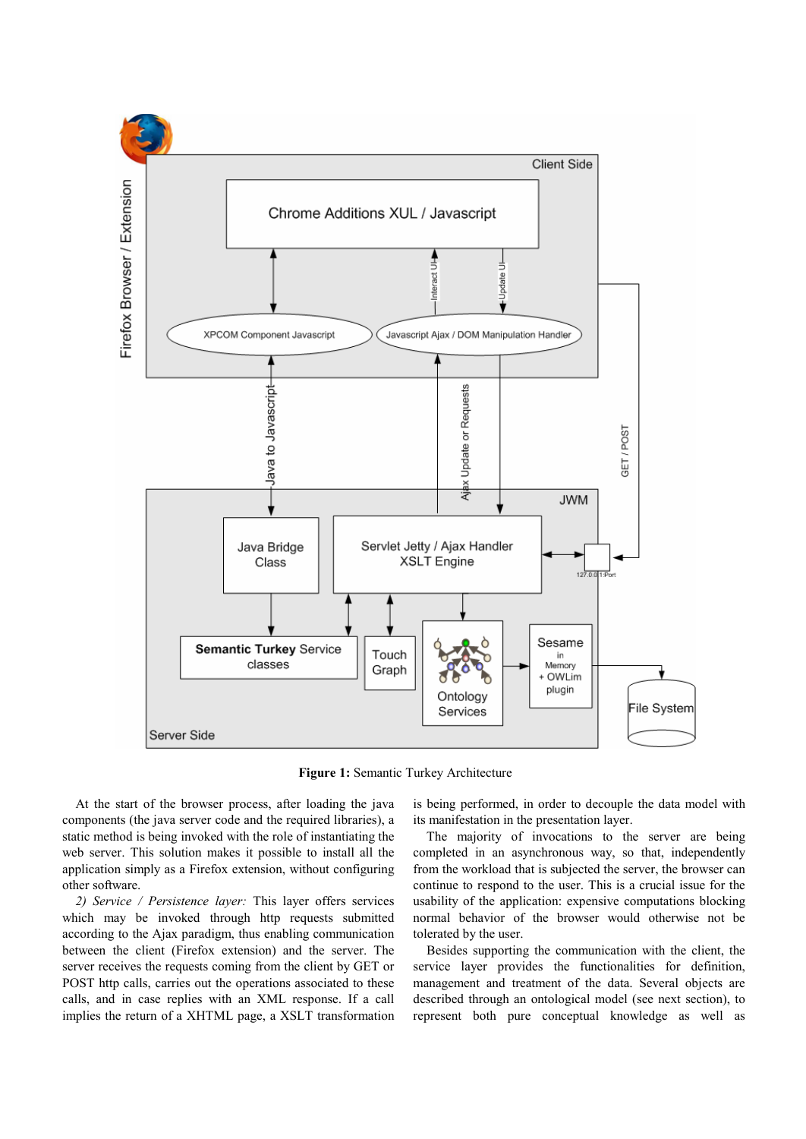

**Figure 1:** Semantic Turkey Architecture

At the start of the browser process, after loading the java components (the java server code and the required libraries), a static method is being invoked with the role of instantiating the web server. This solution makes it possible to install all the application simply as a Firefox extension, without configuring other software.

*2) Service / Persistence layer:* This layer offers services which may be invoked through http requests submitted according to the Ajax paradigm, thus enabling communication between the client (Firefox extension) and the server. The server receives the requests coming from the client by GET or POST http calls, carries out the operations associated to these calls, and in case replies with an XML response. If a call implies the return of a XHTML page, a XSLT transformation is being performed, in order to decouple the data model with its manifestation in the presentation layer.

The majority of invocations to the server are being completed in an asynchronous way, so that, independently from the workload that is subjected the server, the browser can continue to respond to the user. This is a crucial issue for the usability of the application: expensive computations blocking normal behavior of the browser would otherwise not be tolerated by the user.

Besides supporting the communication with the client, the service layer provides the functionalities for definition, management and treatment of the data. Several objects are described through an ontological model (see next section), to represent both pure conceptual knowledge as well as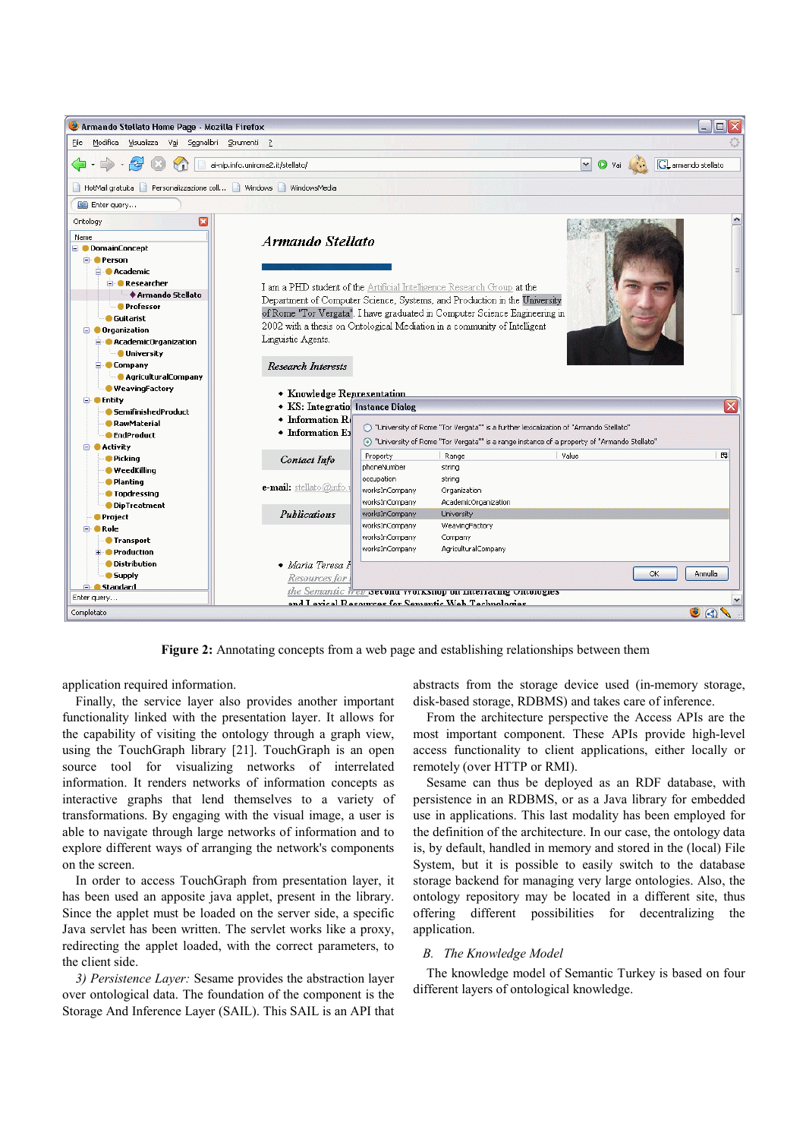

**Figure 2:** Annotating concepts from a web page and establishing relationships between them

application required information.

Finally, the service layer also provides another important functionality linked with the presentation layer. It allows for the capability of visiting the ontology through a graph view, using the TouchGraph library [21]. TouchGraph is an open source tool for visualizing networks of interrelated information. It renders networks of information concepts as interactive graphs that lend themselves to a variety of transformations. By engaging with the visual image, a user is able to navigate through large networks of information and to explore different ways of arranging the network's components on the screen.

In order to access TouchGraph from presentation layer, it has been used an apposite java applet, present in the library. Since the applet must be loaded on the server side, a specific Java servlet has been written. The servlet works like a proxy, redirecting the applet loaded, with the correct parameters, to the client side.

*3) Persistence Layer:* Sesame provides the abstraction layer over ontological data. The foundation of the component is the Storage And Inference Layer (SAIL). This SAIL is an API that abstracts from the storage device used (in-memory storage, disk-based storage, RDBMS) and takes care of inference.

From the architecture perspective the Access APIs are the most important component. These APIs provide high-level access functionality to client applications, either locally or remotely (over HTTP or RMI).

Sesame can thus be deployed as an RDF database, with persistence in an RDBMS, or as a Java library for embedded use in applications. This last modality has been employed for the definition of the architecture. In our case, the ontology data is, by default, handled in memory and stored in the (local) File System, but it is possible to easily switch to the database storage backend for managing very large ontologies. Also, the ontology repository may be located in a different site, thus offering different possibilities for decentralizing the application.

# *B. The Knowledge Model*

The knowledge model of Semantic Turkey is based on four different layers of ontological knowledge.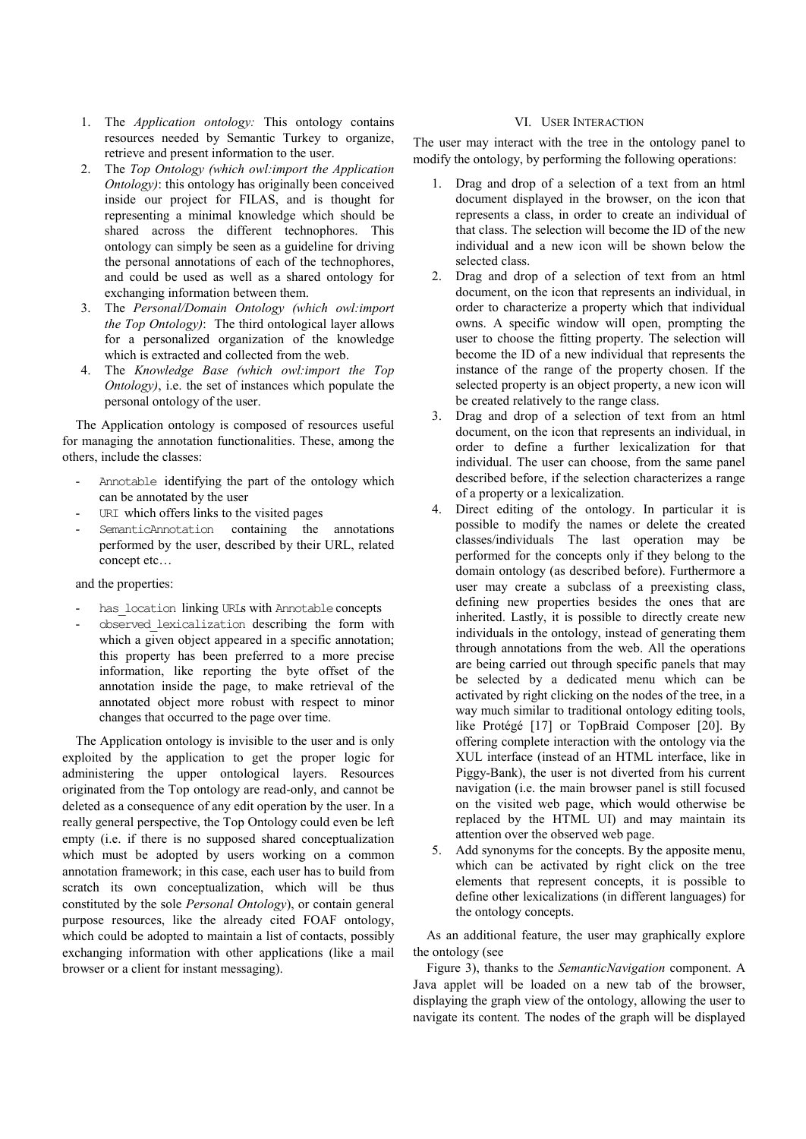- 1. The *Application ontology:* This ontology contains resources needed by Semantic Turkey to organize, retrieve and present information to the user.
- 2. The *Top Ontology (which owl:import the Application Ontology*): this ontology has originally been conceived inside our project for FILAS, and is thought for representing a minimal knowledge which should be shared across the different technophores. This ontology can simply be seen as a guideline for driving the personal annotations of each of the technophores, and could be used as well as a shared ontology for exchanging information between them.
- 3. The *Personal/Domain Ontology (which owl:import the Top Ontology)*: The third ontological layer allows for a personalized organization of the knowledge which is extracted and collected from the web.
- 4. The *Knowledge Base (which owl:import the Top Ontology)*, i.e. the set of instances which populate the personal ontology of the user.

The Application ontology is composed of resources useful for managing the annotation functionalities. These, among the others, include the classes:

- Annotable identifying the part of the ontology which can be annotated by the user
- URI which offers links to the visited pages
- SemanticAnnotation containing the annotations performed by the user, described by their URL, related concept etc…

## and the properties:

- has location linking URLs with Annotable concepts
- observed lexicalization describing the form with which a given object appeared in a specific annotation; this property has been preferred to a more precise information, like reporting the byte offset of the annotation inside the page, to make retrieval of the annotated object more robust with respect to minor changes that occurred to the page over time.

The Application ontology is invisible to the user and is only exploited by the application to get the proper logic for administering the upper ontological layers. Resources originated from the Top ontology are read-only, and cannot be deleted as a consequence of any edit operation by the user. In a really general perspective, the Top Ontology could even be left empty (i.e. if there is no supposed shared conceptualization which must be adopted by users working on a common annotation framework; in this case, each user has to build from scratch its own conceptualization, which will be thus constituted by the sole *Personal Ontology*), or contain general purpose resources, like the already cited FOAF ontology, which could be adopted to maintain a list of contacts, possibly exchanging information with other applications (like a mail browser or a client for instant messaging).

## VI. USER INTERACTION

The user may interact with the tree in the ontology panel to modify the ontology, by performing the following operations:

- 1. Drag and drop of a selection of a text from an html document displayed in the browser, on the icon that represents a class, in order to create an individual of that class. The selection will become the ID of the new individual and a new icon will be shown below the selected class.
- 2. Drag and drop of a selection of text from an html document, on the icon that represents an individual, in order to characterize a property which that individual owns. A specific window will open, prompting the user to choose the fitting property. The selection will become the ID of a new individual that represents the instance of the range of the property chosen. If the selected property is an object property, a new icon will be created relatively to the range class.
- 3. Drag and drop of a selection of text from an html document, on the icon that represents an individual, in order to define a further lexicalization for that individual. The user can choose, from the same panel described before, if the selection characterizes a range of a property or a lexicalization.
- 4. Direct editing of the ontology. In particular it is possible to modify the names or delete the created classes/individuals The last operation may be performed for the concepts only if they belong to the domain ontology (as described before). Furthermore a user may create a subclass of a preexisting class, defining new properties besides the ones that are inherited. Lastly, it is possible to directly create new individuals in the ontology, instead of generating them through annotations from the web. All the operations are being carried out through specific panels that may be selected by a dedicated menu which can be activated by right clicking on the nodes of the tree, in a way much similar to traditional ontology editing tools, like Protégé [17] or TopBraid Composer [20]. By offering complete interaction with the ontology via the XUL interface (instead of an HTML interface, like in Piggy-Bank), the user is not diverted from his current navigation (i.e. the main browser panel is still focused on the visited web page, which would otherwise be replaced by the HTML UI) and may maintain its attention over the observed web page.
- 5. Add synonyms for the concepts. By the apposite menu, which can be activated by right click on the tree elements that represent concepts, it is possible to define other lexicalizations (in different languages) for the ontology concepts.

As an additional feature, the user may graphically explore the ontology (see

Figure 3), thanks to the *SemanticNavigation* component. A Java applet will be loaded on a new tab of the browser, displaying the graph view of the ontology, allowing the user to navigate its content. The nodes of the graph will be displayed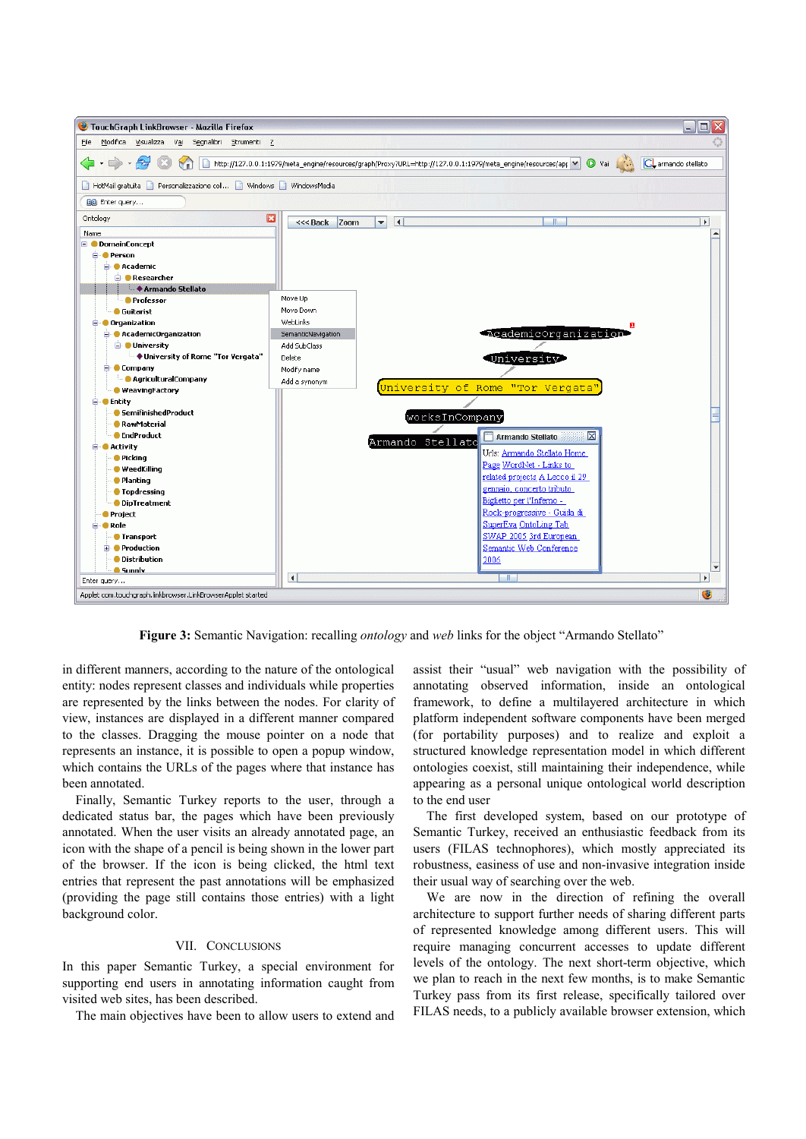

**Figure 3:** Semantic Navigation: recalling *ontology* and *web* links for the object "Armando Stellato"

in different manners, according to the nature of the ontological entity: nodes represent classes and individuals while properties are represented by the links between the nodes. For clarity of view, instances are displayed in a different manner compared to the classes. Dragging the mouse pointer on a node that represents an instance, it is possible to open a popup window, which contains the URLs of the pages where that instance has been annotated.

Finally, Semantic Turkey reports to the user, through a dedicated status bar, the pages which have been previously annotated. When the user visits an already annotated page, an icon with the shape of a pencil is being shown in the lower part of the browser. If the icon is being clicked, the html text entries that represent the past annotations will be emphasized (providing the page still contains those entries) with a light background color.

## VII. CONCLUSIONS

In this paper Semantic Turkey, a special environment for supporting end users in annotating information caught from visited web sites, has been described.

The main objectives have been to allow users to extend and

assist their "usual" web navigation with the possibility of annotating observed information, inside an ontological framework, to define a multilayered architecture in which platform independent software components have been merged (for portability purposes) and to realize and exploit a structured knowledge representation model in which different ontologies coexist, still maintaining their independence, while appearing as a personal unique ontological world description to the end user

The first developed system, based on our prototype of Semantic Turkey, received an enthusiastic feedback from its users (FILAS technophores), which mostly appreciated its robustness, easiness of use and non-invasive integration inside their usual way of searching over the web.

We are now in the direction of refining the overall architecture to support further needs of sharing different parts of represented knowledge among different users. This will require managing concurrent accesses to update different levels of the ontology. The next short-term objective, which we plan to reach in the next few months, is to make Semantic Turkey pass from its first release, specifically tailored over FILAS needs, to a publicly available browser extension, which